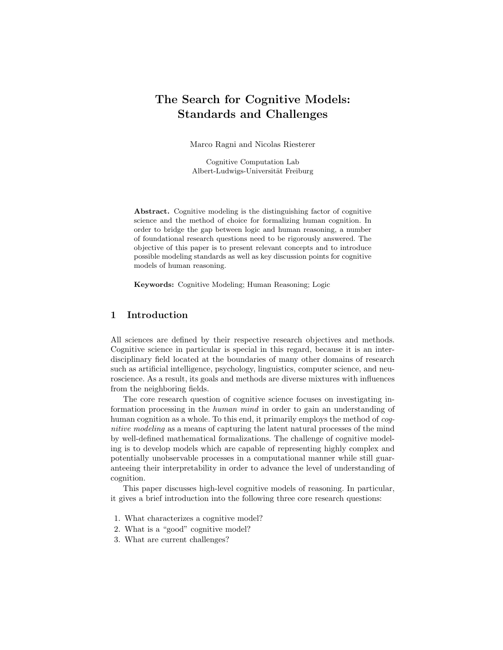# The Search for Cognitive Models: Standards and Challenges

Marco Ragni and Nicolas Riesterer

Cognitive Computation Lab Albert-Ludwigs-Universität Freiburg

Abstract. Cognitive modeling is the distinguishing factor of cognitive science and the method of choice for formalizing human cognition. In order to bridge the gap between logic and human reasoning, a number of foundational research questions need to be rigorously answered. The objective of this paper is to present relevant concepts and to introduce possible modeling standards as well as key discussion points for cognitive models of human reasoning.

Keywords: Cognitive Modeling; Human Reasoning; Logic

#### 1 Introduction

All sciences are defined by their respective research objectives and methods. Cognitive science in particular is special in this regard, because it is an interdisciplinary field located at the boundaries of many other domains of research such as artificial intelligence, psychology, linguistics, computer science, and neuroscience. As a result, its goals and methods are diverse mixtures with influences from the neighboring fields.

The core research question of cognitive science focuses on investigating information processing in the *human mind* in order to gain an understanding of human cognition as a whole. To this end, it primarily employs the method of *cognitive modeling* as a means of capturing the latent natural processes of the mind by well-defined mathematical formalizations. The challenge of cognitive modeling is to develop models which are capable of representing highly complex and potentially unobservable processes in a computational manner while still guaranteeing their interpretability in order to advance the level of understanding of cognition.

This paper discusses high-level cognitive models of reasoning. In particular, it gives a brief introduction into the following three core research questions:

- 1. What characterizes a cognitive model?
- 2. What is a "good" cognitive model?
- 3. What are current challenges?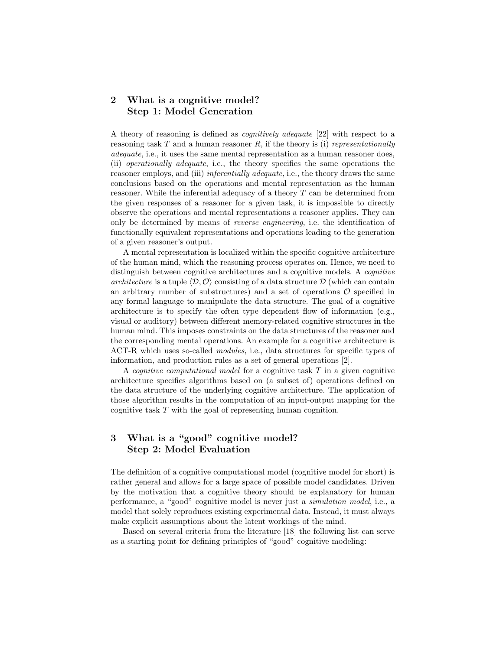## 2 What is a cognitive model? Step 1: Model Generation

A theory of reasoning is defined as *cognitively adequate* [22] with respect to a reasoning task *T* and a human reasoner *R*, if the theory is (i) *representationally adequate*, i.e., it uses the same mental representation as a human reasoner does, (ii) *operationally adequate*, i.e., the theory specifies the same operations the reasoner employs, and (iii) *inferentially adequate*, i.e., the theory draws the same conclusions based on the operations and mental representation as the human reasoner. While the inferential adequacy of a theory *T* can be determined from the given responses of a reasoner for a given task, it is impossible to directly observe the operations and mental representations a reasoner applies. They can only be determined by means of *reverse engineering*, i.e. the identification of functionally equivalent representations and operations leading to the generation of a given reasoner's output.

A mental representation is localized within the specific cognitive architecture of the human mind, which the reasoning process operates on. Hence, we need to distinguish between cognitive architectures and a cognitive models. A *cognitive architecture* is a tuple  $\langle \mathcal{D}, \mathcal{O} \rangle$  consisting of a data structure  $\mathcal{D}$  (which can contain an arbitrary number of substructures) and a set of operations *O* specified in any formal language to manipulate the data structure. The goal of a cognitive architecture is to specify the often type dependent flow of information (e.g., visual or auditory) between different memory-related cognitive structures in the human mind. This imposes constraints on the data structures of the reasoner and the corresponding mental operations. An example for a cognitive architecture is ACT-R which uses so-called *modules*, i.e., data structures for specific types of information, and production rules as a set of general operations [2].

A *cognitive computational model* for a cognitive task *T* in a given cognitive architecture specifies algorithms based on (a subset of) operations defined on the data structure of the underlying cognitive architecture. The application of those algorithm results in the computation of an input-output mapping for the cognitive task *T* with the goal of representing human cognition.

# 3 What is a "good" cognitive model? Step 2: Model Evaluation

The definition of a cognitive computational model (cognitive model for short) is rather general and allows for a large space of possible model candidates. Driven by the motivation that a cognitive theory should be explanatory for human performance, a "good" cognitive model is never just a *simulation model*, i.e., a model that solely reproduces existing experimental data. Instead, it must always make explicit assumptions about the latent workings of the mind.

Based on several criteria from the literature [18] the following list can serve as a starting point for defining principles of "good" cognitive modeling: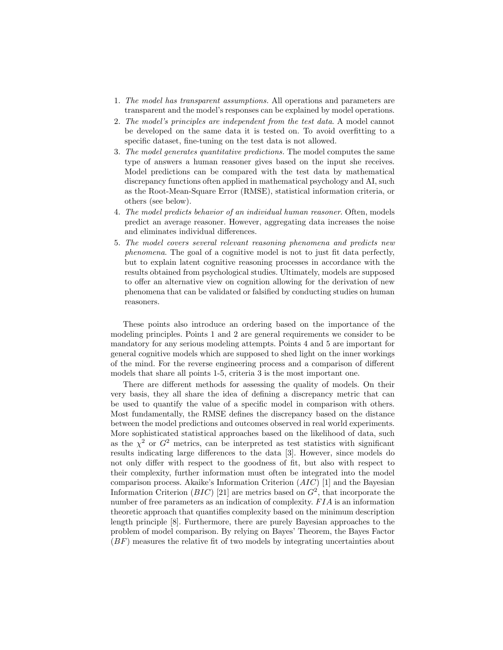- 1. *The model has transparent assumptions.* All operations and parameters are transparent and the model's responses can be explained by model operations.
- 2. *The model's principles are independent from the test data*. A model cannot be developed on the same data it is tested on. To avoid overfitting to a specific dataset, fine-tuning on the test data is not allowed.
- 3. *The model generates quantitative predictions.* The model computes the same type of answers a human reasoner gives based on the input she receives. Model predictions can be compared with the test data by mathematical discrepancy functions often applied in mathematical psychology and AI, such as the Root-Mean-Square Error (RMSE), statistical information criteria, or others (see below).
- 4. *The model predicts behavior of an individual human reasoner*. Often, models predict an average reasoner. However, aggregating data increases the noise and eliminates individual differences.
- 5. *The model covers several relevant reasoning phenomena and predicts new phenomena*. The goal of a cognitive model is not to just fit data perfectly, but to explain latent cognitive reasoning processes in accordance with the results obtained from psychological studies. Ultimately, models are supposed to offer an alternative view on cognition allowing for the derivation of new phenomena that can be validated or falsified by conducting studies on human reasoners.

These points also introduce an ordering based on the importance of the modeling principles. Points 1 and 2 are general requirements we consider to be mandatory for any serious modeling attempts. Points 4 and 5 are important for general cognitive models which are supposed to shed light on the inner workings of the mind. For the reverse engineering process and a comparison of different models that share all points 1-5, criteria 3 is the most important one.

There are different methods for assessing the quality of models. On their very basis, they all share the idea of defining a discrepancy metric that can be used to quantify the value of a specific model in comparison with others. Most fundamentally, the RMSE defines the discrepancy based on the distance between the model predictions and outcomes observed in real world experiments. More sophisticated statistical approaches based on the likelihood of data, such as the  $\chi^2$  or  $G^2$  metrics, can be interpreted as test statistics with significant results indicating large differences to the data [3]. However, since models do not only differ with respect to the goodness of fit, but also with respect to their complexity, further information must often be integrated into the model comparison process. Akaike's Information Criterion (*AIC*) [1] and the Bayesian Information Criterion (*BIC*) [21] are metrics based on *G*<sup>2</sup>, that incorporate the number of free parameters as an indication of complexity. *FIA* is an information theoretic approach that quantifies complexity based on the minimum description length principle [8]. Furthermore, there are purely Bayesian approaches to the problem of model comparison. By relying on Bayes' Theorem, the Bayes Factor (*BF*) measures the relative fit of two models by integrating uncertainties about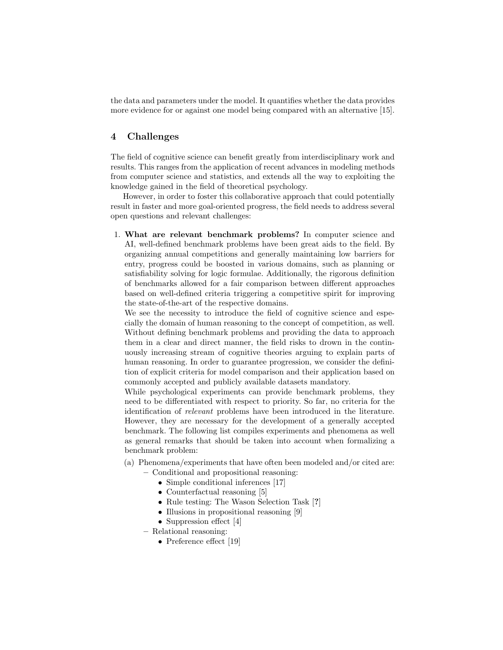the data and parameters under the model. It quantifies whether the data provides more evidence for or against one model being compared with an alternative [15].

## 4 Challenges

The field of cognitive science can benefit greatly from interdisciplinary work and results. This ranges from the application of recent advances in modeling methods from computer science and statistics, and extends all the way to exploiting the knowledge gained in the field of theoretical psychology.

However, in order to foster this collaborative approach that could potentially result in faster and more goal-oriented progress, the field needs to address several open questions and relevant challenges:

1. What are relevant benchmark problems? In computer science and AI, well-defined benchmark problems have been great aids to the field. By organizing annual competitions and generally maintaining low barriers for entry, progress could be boosted in various domains, such as planning or satisfiability solving for logic formulae. Additionally, the rigorous definition of benchmarks allowed for a fair comparison between different approaches based on well-defined criteria triggering a competitive spirit for improving the state-of-the-art of the respective domains.

We see the necessity to introduce the field of cognitive science and especially the domain of human reasoning to the concept of competition, as well. Without defining benchmark problems and providing the data to approach them in a clear and direct manner, the field risks to drown in the continuously increasing stream of cognitive theories arguing to explain parts of human reasoning. In order to guarantee progression, we consider the definition of explicit criteria for model comparison and their application based on commonly accepted and publicly available datasets mandatory.

While psychological experiments can provide benchmark problems, they need to be differentiated with respect to priority. So far, no criteria for the identification of *relevant* problems have been introduced in the literature. However, they are necessary for the development of a generally accepted benchmark. The following list compiles experiments and phenomena as well as general remarks that should be taken into account when formalizing a benchmark problem:

- (a) Phenomena/experiments that have often been modeled and/or cited are:
	- Conditional and propositional reasoning:
		- Simple conditional inferences [17]
		- Counterfactual reasoning [5]
		- Rule testing: The Wason Selection Task [?]
		- Illusions in propositional reasoning [9]
		- Suppression effect [4]

– Relational reasoning:

• Preference effect [19]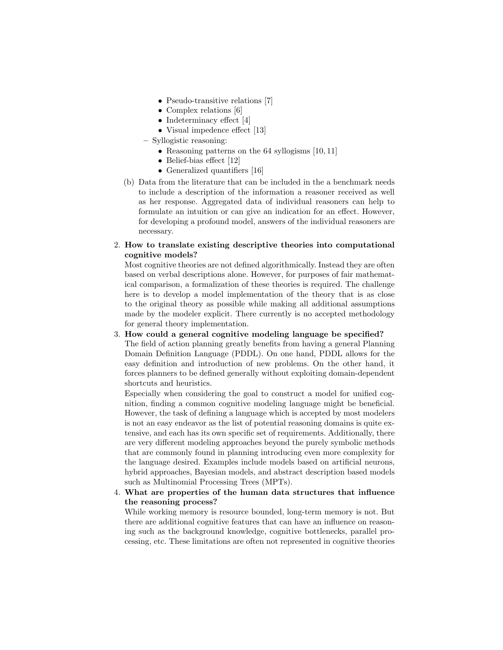- Pseudo-transitive relations [7]
- Complex relations [6]
- Indeterminacy effect [4]
- Visual impedence effect [13]
- Syllogistic reasoning:
	- Reasoning patterns on the 64 syllogisms [10, 11]
	- Belief-bias effect [12]
	- Generalized quantifiers [16]
- (b) Data from the literature that can be included in the a benchmark needs to include a description of the information a reasoner received as well as her response. Aggregated data of individual reasoners can help to formulate an intuition or can give an indication for an effect. However, for developing a profound model, answers of the individual reasoners are necessary.
- 2. How to translate existing descriptive theories into computational cognitive models?

Most cognitive theories are not defined algorithmically. Instead they are often based on verbal descriptions alone. However, for purposes of fair mathematical comparison, a formalization of these theories is required. The challenge here is to develop a model implementation of the theory that is as close to the original theory as possible while making all additional assumptions made by the modeler explicit. There currently is no accepted methodology for general theory implementation.

3. How could a general cognitive modeling language be specified?

The field of action planning greatly benefits from having a general Planning Domain Definition Language (PDDL). On one hand, PDDL allows for the easy definition and introduction of new problems. On the other hand, it forces planners to be defined generally without exploiting domain-dependent shortcuts and heuristics.

Especially when considering the goal to construct a model for unified cognition, finding a common cognitive modeling language might be beneficial. However, the task of defining a language which is accepted by most modelers is not an easy endeavor as the list of potential reasoning domains is quite extensive, and each has its own specific set of requirements. Additionally, there are very different modeling approaches beyond the purely symbolic methods that are commonly found in planning introducing even more complexity for the language desired. Examples include models based on artificial neurons, hybrid approaches, Bayesian models, and abstract description based models such as Multinomial Processing Trees (MPTs).

#### 4. What are properties of the human data structures that influence the reasoning process?

While working memory is resource bounded, long-term memory is not. But there are additional cognitive features that can have an influence on reasoning such as the background knowledge, cognitive bottlenecks, parallel processing, etc. These limitations are often not represented in cognitive theories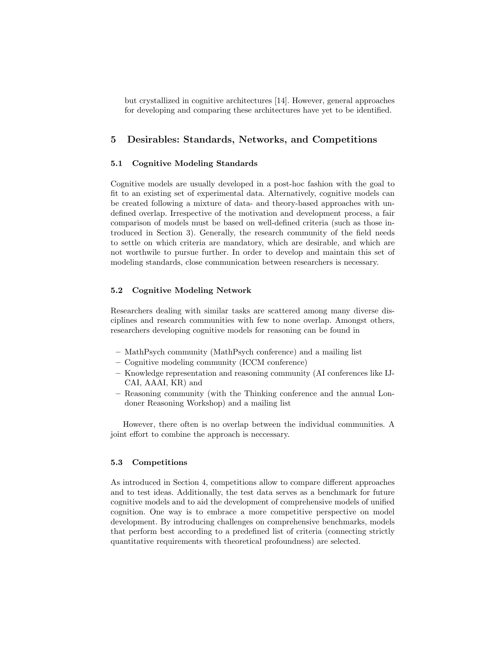but crystallized in cognitive architectures [14]. However, general approaches for developing and comparing these architectures have yet to be identified.

### 5 Desirables: Standards, Networks, and Competitions

#### 5.1 Cognitive Modeling Standards

Cognitive models are usually developed in a post-hoc fashion with the goal to fit to an existing set of experimental data. Alternatively, cognitive models can be created following a mixture of data- and theory-based approaches with undefined overlap. Irrespective of the motivation and development process, a fair comparison of models must be based on well-defined criteria (such as those introduced in Section 3). Generally, the research community of the field needs to settle on which criteria are mandatory, which are desirable, and which are not worthwile to pursue further. In order to develop and maintain this set of modeling standards, close communication between researchers is necessary.

#### 5.2 Cognitive Modeling Network

Researchers dealing with similar tasks are scattered among many diverse disciplines and research communities with few to none overlap. Amongst others, researchers developing cognitive models for reasoning can be found in

- MathPsych community (MathPsych conference) and a mailing list
- Cognitive modeling community (ICCM conference)
- Knowledge representation and reasoning community (AI conferences like IJ-CAI, AAAI, KR) and
- Reasoning community (with the Thinking conference and the annual Londoner Reasoning Workshop) and a mailing list

However, there often is no overlap between the individual communities. A joint effort to combine the approach is necessary.

#### 5.3 Competitions

As introduced in Section 4, competitions allow to compare different approaches and to test ideas. Additionally, the test data serves as a benchmark for future cognitive models and to aid the development of comprehensive models of unified cognition. One way is to embrace a more competitive perspective on model development. By introducing challenges on comprehensive benchmarks, models that perform best according to a predefined list of criteria (connecting strictly quantitative requirements with theoretical profoundness) are selected.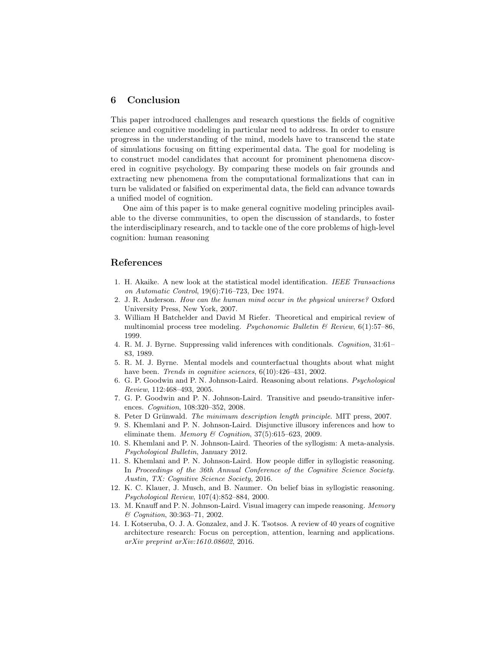## 6 Conclusion

This paper introduced challenges and research questions the fields of cognitive science and cognitive modeling in particular need to address. In order to ensure progress in the understanding of the mind, models have to transcend the state of simulations focusing on fitting experimental data. The goal for modeling is to construct model candidates that account for prominent phenomena discovered in cognitive psychology. By comparing these models on fair grounds and extracting new phenomena from the computational formalizations that can in turn be validated or falsified on experimental data, the field can advance towards a unified model of cognition.

One aim of this paper is to make general cognitive modeling principles available to the diverse communities, to open the discussion of standards, to foster the interdisciplinary research, and to tackle one of the core problems of high-level cognition: human reasoning

#### References

- 1. H. Akaike. A new look at the statistical model identification. *IEEE Transactions on Automatic Control*, 19(6):716–723, Dec 1974.
- 2. J. R. Anderson. *How can the human mind occur in the physical universe?* Oxford University Press, New York, 2007.
- 3. William H Batchelder and David M Riefer. Theoretical and empirical review of multinomial process tree modeling. *Psychonomic Bulletin & Review*, 6(1):57–86, 1999.
- 4. R. M. J. Byrne. Suppressing valid inferences with conditionals. *Cognition*, 31:61– 83, 1989.
- 5. R. M. J. Byrne. Mental models and counterfactual thoughts about what might have been. *Trends in cognitive sciences*,  $6(10):426-431$ , 2002.
- 6. G. P. Goodwin and P. N. Johnson-Laird. Reasoning about relations. *Psychological Review*, 112:468–493, 2005.
- 7. G. P. Goodwin and P. N. Johnson-Laird. Transitive and pseudo-transitive inferences. *Cognition*, 108:320–352, 2008.
- 8. Peter D Grünwald. *The minimum description length principle*. MIT press, 2007.
- 9. S. Khemlani and P. N. Johnson-Laird. Disjunctive illusory inferences and how to eliminate them. *Memory & Cognition*, 37(5):615–623, 2009.
- 10. S. Khemlani and P. N. Johnson-Laird. Theories of the syllogism: A meta-analysis. *Psychological Bulletin*, January 2012.
- 11. S. Khemlani and P. N. Johnson-Laird. How people differ in syllogistic reasoning. In *Proceedings of the 36th Annual Conference of the Cognitive Science Society. Austin, TX: Cognitive Science Society*, 2016.
- 12. K. C. Klauer, J. Musch, and B. Naumer. On belief bias in syllogistic reasoning. *Psychological Review*, 107(4):852–884, 2000.
- 13. M. Knauff and P. N. Johnson-Laird. Visual imagery can impede reasoning. *Memory & Cognition*, 30:363–71, 2002.
- 14. I. Kotseruba, O. J. A. Gonzalez, and J. K. Tsotsos. A review of 40 years of cognitive architecture research: Focus on perception, attention, learning and applications. *arXiv preprint arXiv:1610.08602*, 2016.